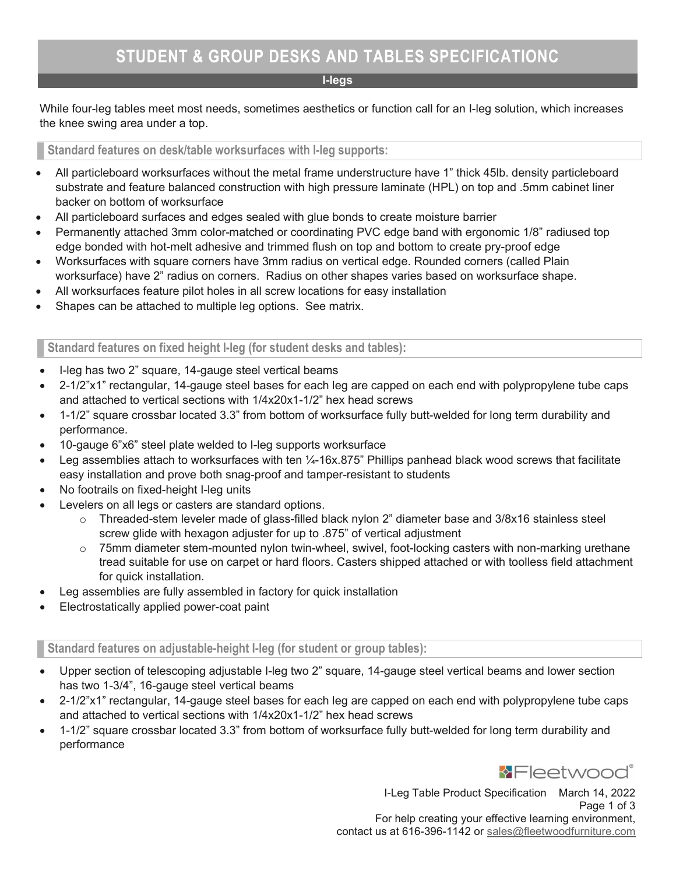#### I-legs

While four-leg tables meet most needs, sometimes aesthetics or function call for an I-leg solution, which increases the knee swing area under a top.

Standard features on desk/table worksurfaces with I-leg supports:

- All particleboard worksurfaces without the metal frame understructure have 1" thick 45lb. density particleboard substrate and feature balanced construction with high pressure laminate (HPL) on top and .5mm cabinet liner backer on bottom of worksurface
- All particleboard surfaces and edges sealed with glue bonds to create moisture barrier
- Permanently attached 3mm color-matched or coordinating PVC edge band with ergonomic 1/8" radiused top edge bonded with hot-melt adhesive and trimmed flush on top and bottom to create pry-proof edge
- Worksurfaces with square corners have 3mm radius on vertical edge. Rounded corners (called Plain worksurface) have 2" radius on corners. Radius on other shapes varies based on worksurface shape.
- All worksurfaces feature pilot holes in all screw locations for easy installation
- Shapes can be attached to multiple leg options. See matrix.

Standard features on fixed height I-leg (for student desks and tables):

- I-leg has two 2" square, 14-gauge steel vertical beams
- 2-1/2"x1" rectangular, 14-gauge steel bases for each leg are capped on each end with polypropylene tube caps and attached to vertical sections with 1/4x20x1-1/2" hex head screws
- 1-1/2" square crossbar located 3.3" from bottom of worksurface fully butt-welded for long term durability and performance.
- 10-gauge 6"x6" steel plate welded to I-leg supports worksurface
- Leg assemblies attach to worksurfaces with ten  $\frac{1}{4}$ -16x.875" Phillips panhead black wood screws that facilitate easy installation and prove both snag-proof and tamper-resistant to students
- No footrails on fixed-height I-leg units
- Levelers on all legs or casters are standard options.
	- $\circ$  Threaded-stem leveler made of glass-filled black nylon 2" diameter base and 3/8x16 stainless steel screw glide with hexagon adjuster for up to .875" of vertical adjustment
	- $\circ$  75mm diameter stem-mounted nylon twin-wheel, swivel, foot-locking casters with non-marking urethane tread suitable for use on carpet or hard floors. Casters shipped attached or with toolless field attachment for quick installation.
- Leg assemblies are fully assembled in factory for quick installation
- Electrostatically applied power-coat paint

Standard features on adjustable-height I-leg (for student or group tables):

- Upper section of telescoping adjustable I-leg two 2" square, 14-gauge steel vertical beams and lower section has two 1-3/4", 16-gauge steel vertical beams
- 2-1/2"x1" rectangular, 14-gauge steel bases for each leg are capped on each end with polypropylene tube caps and attached to vertical sections with 1/4x20x1-1/2" hex head screws
- 1-1/2" square crossbar located 3.3" from bottom of worksurface fully butt-welded for long term durability and performance



I-Leg Table Product Specification March 14, 2022 Page 1 of 3 For help creating your effective learning environment, contact us at 616-396-1142 or sales@fleetwoodfurniture.com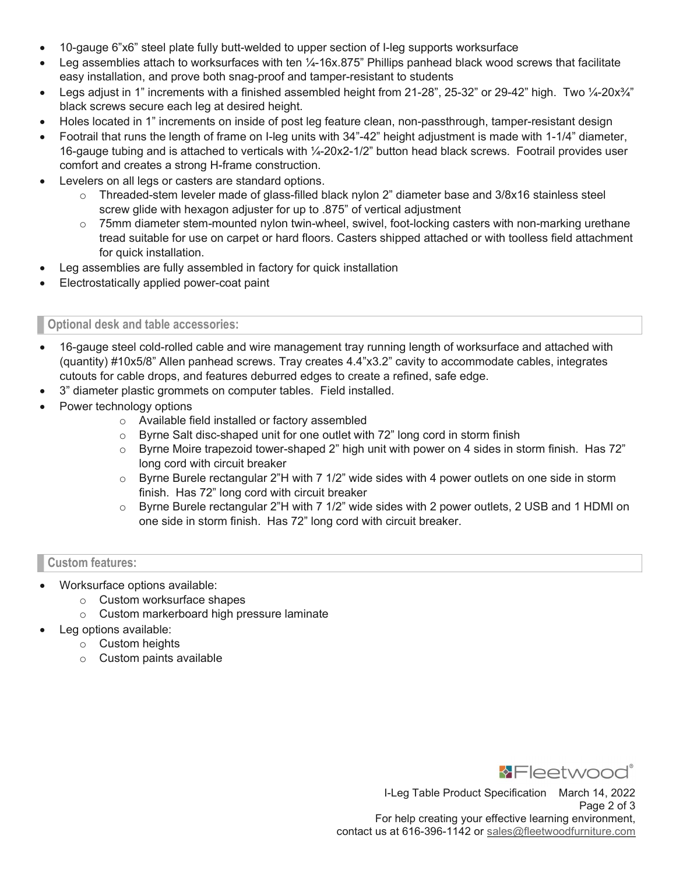- 10-gauge 6"x6" steel plate fully butt-welded to upper section of I-leg supports worksurface
- Leg assemblies attach to worksurfaces with ten  $\frac{1}{4}$ -16x.875" Phillips panhead black wood screws that facilitate easy installation, and prove both snag-proof and tamper-resistant to students
- Legs adjust in 1" increments with a finished assembled height from 21-28", 25-32" or 29-42" high. Two 1/4-20x $\frac{3}{4}$ " black screws secure each leg at desired height.
- Holes located in 1" increments on inside of post leg feature clean, non-passthrough, tamper-resistant design
- Footrail that runs the length of frame on I-leg units with 34"-42" height adjustment is made with 1-1/4" diameter, 16-gauge tubing and is attached to verticals with ¼-20x2-1/2" button head black screws. Footrail provides user comfort and creates a strong H-frame construction.
- Levelers on all legs or casters are standard options.
	- Threaded-stem leveler made of glass-filled black nylon 2" diameter base and 3/8x16 stainless steel screw glide with hexagon adjuster for up to .875" of vertical adjustment
	- $\circ$  75mm diameter stem-mounted nylon twin-wheel, swivel, foot-locking casters with non-marking urethane tread suitable for use on carpet or hard floors. Casters shipped attached or with toolless field attachment for quick installation.
- Leg assemblies are fully assembled in factory for quick installation
- Electrostatically applied power-coat paint

# Optional desk and table accessories:

- 16-gauge steel cold-rolled cable and wire management tray running length of worksurface and attached with (quantity) #10x5/8" Allen panhead screws. Tray creates 4.4"x3.2" cavity to accommodate cables, integrates cutouts for cable drops, and features deburred edges to create a refined, safe edge.
- 3" diameter plastic grommets on computer tables. Field installed.
- Power technology options
	- o Available field installed or factory assembled
	- $\circ$  Byrne Salt disc-shaped unit for one outlet with 72" long cord in storm finish
	- $\circ$  Byrne Moire trapezoid tower-shaped 2" high unit with power on 4 sides in storm finish. Has 72" long cord with circuit breaker
	- $\circ$  Byrne Burele rectangular 2"H with 7 1/2" wide sides with 4 power outlets on one side in storm finish. Has 72" long cord with circuit breaker
	- $\circ$  Byrne Burele rectangular 2"H with 7 1/2" wide sides with 2 power outlets, 2 USB and 1 HDMI on one side in storm finish. Has 72" long cord with circuit breaker.

# Custom features:

- Worksurface options available:
	- o Custom worksurface shapes
	- o Custom markerboard high pressure laminate
- Leg options available:
	- o Custom heights
	- o Custom paints available



I-Leg Table Product Specification March 14, 2022 Page 2 of 3 For help creating your effective learning environment, contact us at 616-396-1142 or sales@fleetwoodfurniture.com